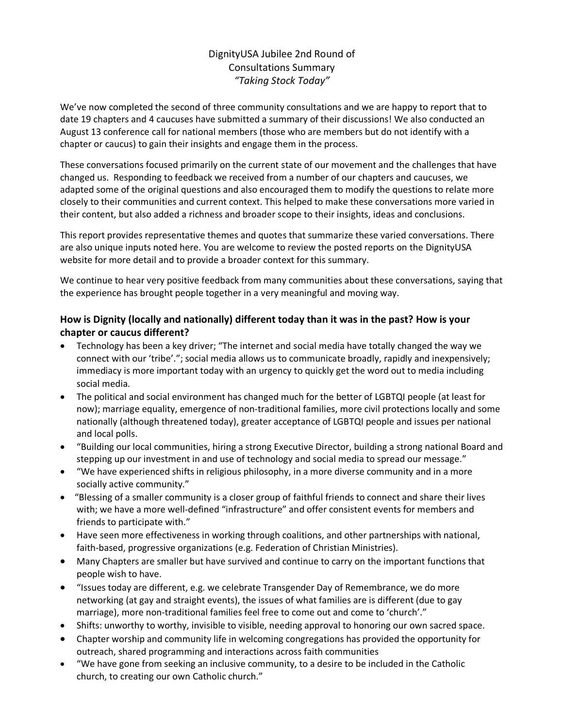# DignityUSA Jubilee 2nd Round of Consultations Summary *"Taking Stock Today"*

We've now completed the second of three community consultations and we are happy to report that to date 19 chapters and 4 caucuses have submitted a summary of their discussions! We also conducted an August 13 conference call for national members (those who are members but do not identify with a chapter or caucus) to gain their insights and engage them in the process.

These conversations focused primarily on the current state of our movement and the challenges that have changed us. Responding to feedback we received from a number of our chapters and caucuses, we adapted some of the original questions and also encouraged them to modify the questions to relate more closely to their communities and current context. This helped to make these conversations more varied in their content, but also added a richness and broader scope to their insights, ideas and conclusions.

This report provides representative themes and quotes that summarize these varied conversations. There are also unique inputs noted here. You are welcome to review the posted reports on the DignityUSA website for more detail and to provide a broader context for this summary.

We continue to hear very positive feedback from many communities about these conversations, saying that the experience has brought people together in a very meaningful and moving way.

### **How is Dignity (locally and nationally) different today than it was in the past? How is your chapter or caucus different?**

- Technology has been a key driver; "The internet and social media have totally changed the way we connect with our 'tribe'."; social media allows us to communicate broadly, rapidly and inexpensively; immediacy is more important today with an urgency to quickly get the word out to media including social media.
- The political and social environment has changed much for the better of LGBTQI people (at least for now); marriage equality, emergence of non-traditional families, more civil protections locally and some nationally (although threatened today), greater acceptance of LGBTQI people and issues per national and local polls.
- "Building our local communities, hiring a strong Executive Director, building a strong national Board and stepping up our investment in and use of technology and social media to spread our message."
- "We have experienced shifts in religious philosophy, in a more diverse community and in a more socially active community."
- "Blessing of a smaller community is a closer group of faithful friends to connect and share their lives with; we have a more well-defined "infrastructure" and offer consistent events for members and friends to participate with."
- Have seen more effectiveness in working through coalitions, and other partnerships with national, faith-based, progressive organizations (e.g. Federation of Christian Ministries).
- Many Chapters are smaller but have survived and continue to carry on the important functions that people wish to have.
- "Issues today are different, e.g. we celebrate Transgender Day of Remembrance, we do more networking (at gay and straight events), the issues of what families are is different (due to gay marriage), more non-traditional families feel free to come out and come to 'church'."
- Shifts: unworthy to worthy, invisible to visible, needing approval to honoring our own sacred space.
- Chapter worship and community life in welcoming congregations has provided the opportunity for outreach, shared programming and interactions across faith communities
- "We have gone from seeking an inclusive community, to a desire to be included in the Catholic church, to creating our own Catholic church."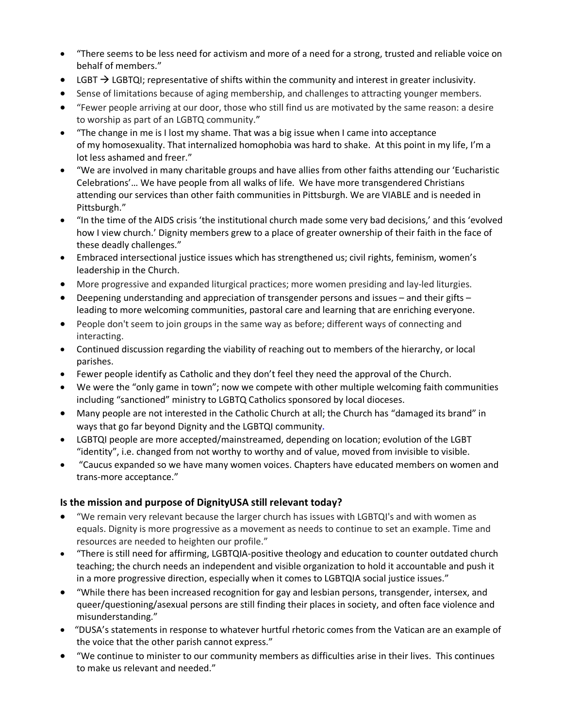- "There seems to be less need for activism and more of a need for a strong, trusted and reliable voice on behalf of members."
- LGBT  $\rightarrow$  LGBTQI; representative of shifts within the community and interest in greater inclusivity.
- Sense of limitations because of aging membership, and challenges to attracting younger members.
- "Fewer people arriving at our door, those who still find us are motivated by the same reason: a desire to worship as part of an LGBTQ community."
- "The change in me is I lost my shame. That was a big issue when I came into acceptance of my homosexuality. That internalized homophobia was hard to shake. At this point in my life, I'm a lot less ashamed and freer."
- "We are involved in many charitable groups and have allies from other faiths attending our 'Eucharistic Celebrations'… We have people from all walks of life. We have more transgendered Christians attending our services than other faith communities in Pittsburgh. We are VIABLE and is needed in Pittsburgh."
- "In the time of the AIDS crisis 'the institutional church made some very bad decisions,' and this 'evolved how I view church.' Dignity members grew to a place of greater ownership of their faith in the face of these deadly challenges."
- Embraced intersectional justice issues which has strengthened us; civil rights, feminism, women's leadership in the Church.
- More progressive and expanded liturgical practices; more women presiding and lay-led liturgies.
- Deepening understanding and appreciation of transgender persons and issues and their gifts leading to more welcoming communities, pastoral care and learning that are enriching everyone.
- People don't seem to join groups in the same way as before; different ways of connecting and interacting.
- Continued discussion regarding the viability of reaching out to members of the hierarchy, or local parishes.
- Fewer people identify as Catholic and they don't feel they need the approval of the Church.
- We were the "only game in town"; now we compete with other multiple welcoming faith communities including "sanctioned" ministry to LGBTQ Catholics sponsored by local dioceses.
- Many people are not interested in the Catholic Church at all; the Church has "damaged its brand" in ways that go far beyond Dignity and the LGBTQI community.
- LGBTQI people are more accepted/mainstreamed, depending on location; evolution of the LGBT "identity", i.e. changed from not worthy to worthy and of value, moved from invisible to visible.
- "Caucus expanded so we have many women voices. Chapters have educated members on women and trans-more acceptance."

#### **Is the mission and purpose of DignityUSA still relevant today?**

- "We remain very relevant because the larger church has issues with LGBTQI's and with women as equals. Dignity is more progressive as a movement as needs to continue to set an example. Time and resources are needed to heighten our profile."
- "There is still need for affirming, LGBTQIA-positive theology and education to counter outdated church teaching; the church needs an independent and visible organization to hold it accountable and push it in a more progressive direction, especially when it comes to LGBTQIA social justice issues."
- "While there has been increased recognition for gay and lesbian persons, transgender, intersex, and queer/questioning/asexual persons are still finding their places in society, and often face violence and misunderstanding."
- "DUSA's statements in response to whatever hurtful rhetoric comes from the Vatican are an example of the voice that the other parish cannot express."
- "We continue to minister to our community members as difficulties arise in their lives. This continues to make us relevant and needed."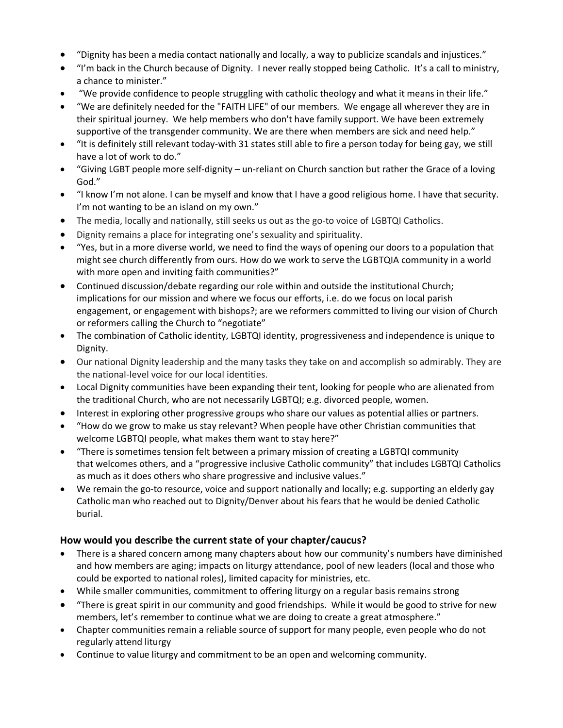- "Dignity has been a media contact nationally and locally, a way to publicize scandals and injustices."
- "I'm back in the Church because of Dignity. I never really stopped being Catholic. It's a call to ministry, a chance to minister."
- "We provide confidence to people struggling with catholic theology and what it means in their life."
- "We are definitely needed for the "FAITH LIFE" of our members. We engage all wherever they are in their spiritual journey. We help members who don't have family support. We have been extremely supportive of the transgender community. We are there when members are sick and need help."
- "It is definitely still relevant today-with 31 states still able to fire a person today for being gay, we still have a lot of work to do."
- "Giving LGBT people more self-dignity un-reliant on Church sanction but rather the Grace of a loving God."
- "I know I'm not alone. I can be myself and know that I have a good religious home. I have that security. I'm not wanting to be an island on my own."
- The media, locally and nationally, still seeks us out as the go-to voice of LGBTQI Catholics.
- Dignity remains a place for integrating one's sexuality and spirituality.
- "Yes, but in a more diverse world, we need to find the ways of opening our doors to a population that might see church differently from ours. How do we work to serve the LGBTQIA community in a world with more open and inviting faith communities?"
- Continued discussion/debate regarding our role within and outside the institutional Church; implications for our mission and where we focus our efforts, i.e. do we focus on local parish engagement, or engagement with bishops?; are we reformers committed to living our vision of Church or reformers calling the Church to "negotiate"
- The combination of Catholic identity, LGBTQI identity, progressiveness and independence is unique to Dignity.
- Our national Dignity leadership and the many tasks they take on and accomplish so admirably. They are the national-level voice for our local identities.
- Local Dignity communities have been expanding their tent, looking for people who are alienated from the traditional Church, who are not necessarily LGBTQI; e.g. divorced people, women.
- Interest in exploring other progressive groups who share our values as potential allies or partners.
- "How do we grow to make us stay relevant? When people have other Christian communities that welcome LGBTQI people, what makes them want to stay here?"
- "There is sometimes tension felt between a primary mission of creating a LGBTQI community that welcomes others, and a "progressive inclusive Catholic community" that includes LGBTQI Catholics as much as it does others who share progressive and inclusive values."
- We remain the go-to resource, voice and support nationally and locally; e.g. supporting an elderly gay Catholic man who reached out to Dignity/Denver about his fears that he would be denied Catholic burial.

#### **How would you describe the current state of your chapter/caucus?**

- There is a shared concern among many chapters about how our community's numbers have diminished and how members are aging; impacts on liturgy attendance, pool of new leaders (local and those who could be exported to national roles), limited capacity for ministries, etc.
- While smaller communities, commitment to offering liturgy on a regular basis remains strong
- "There is great spirit in our community and good friendships. While it would be good to strive for new members, let's remember to continue what we are doing to create a great atmosphere."
- Chapter communities remain a reliable source of support for many people, even people who do not regularly attend liturgy
- Continue to value liturgy and commitment to be an open and welcoming community.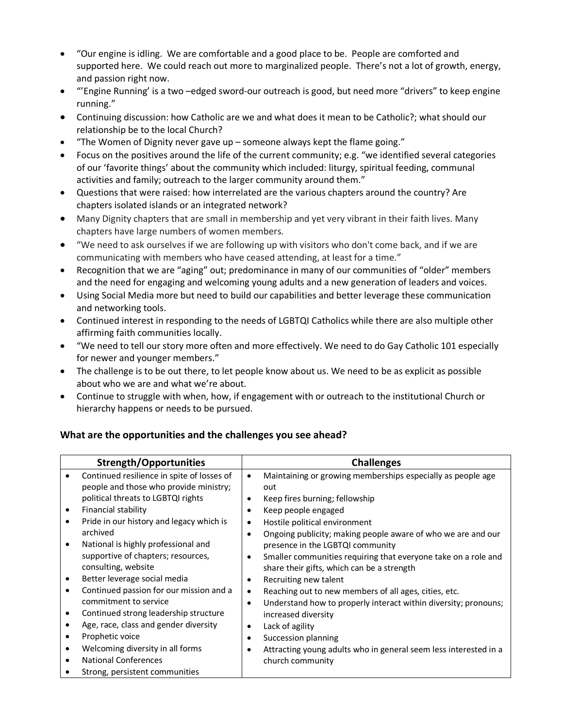- "Our engine is idling. We are comfortable and a good place to be. People are comforted and supported here. We could reach out more to marginalized people. There's not a lot of growth, energy, and passion right now.
- "'Engine Running' is a two –edged sword-our outreach is good, but need more "drivers" to keep engine running."
- Continuing discussion: how Catholic are we and what does it mean to be Catholic?; what should our relationship be to the local Church?
- "The Women of Dignity never gave up someone always kept the flame going."
- Focus on the positives around the life of the current community; e.g. "we identified several categories of our 'favorite things' about the community which included: liturgy, spiritual feeding, communal activities and family; outreach to the larger community around them."
- Questions that were raised: how interrelated are the various chapters around the country? Are chapters isolated islands or an integrated network?
- Many Dignity chapters that are small in membership and yet very vibrant in their faith lives. Many chapters have large numbers of women members.
- "We need to ask ourselves if we are following up with visitors who don't come back, and if we are communicating with members who have ceased attending, at least for a time."
- Recognition that we are "aging" out; predominance in many of our communities of "older" members and the need for engaging and welcoming young adults and a new generation of leaders and voices.
- Using Social Media more but need to build our capabilities and better leverage these communication and networking tools.
- Continued interest in responding to the needs of LGBTQI Catholics while there are also multiple other affirming faith communities locally.
- "We need to tell our story more often and more effectively. We need to do Gay Catholic 101 especially for newer and younger members."
- The challenge is to be out there, to let people know about us. We need to be as explicit as possible about who we are and what we're about.
- Continue to struggle with when, how, if engagement with or outreach to the institutional Church or hierarchy happens or needs to be pursued.

#### **What are the opportunities and the challenges you see ahead?**

| <b>Strength/Opportunities</b> |                                            | <b>Challenges</b>                                                            |  |  |
|-------------------------------|--------------------------------------------|------------------------------------------------------------------------------|--|--|
|                               | Continued resilience in spite of losses of | Maintaining or growing memberships especially as people age<br>٠             |  |  |
|                               | people and those who provide ministry;     | out                                                                          |  |  |
|                               | political threats to LGBTQI rights         | Keep fires burning; fellowship                                               |  |  |
| ٠                             | Financial stability                        | Keep people engaged                                                          |  |  |
|                               | Pride in our history and legacy which is   | Hostile political environment<br>٠                                           |  |  |
|                               | archived                                   | Ongoing publicity; making people aware of who we are and our<br>$\bullet$    |  |  |
|                               | National is highly professional and        | presence in the LGBTQI community                                             |  |  |
|                               | supportive of chapters; resources,         | Smaller communities requiring that everyone take on a role and<br>$\bullet$  |  |  |
|                               | consulting, website                        | share their gifts, which can be a strength                                   |  |  |
|                               | Better leverage social media               | Recruiting new talent                                                        |  |  |
|                               | Continued passion for our mission and a    | Reaching out to new members of all ages, cities, etc.<br>$\bullet$           |  |  |
|                               | commitment to service                      | Understand how to properly interact within diversity; pronouns;<br>$\bullet$ |  |  |
|                               | Continued strong leadership structure      | increased diversity                                                          |  |  |
|                               | Age, race, class and gender diversity      | Lack of agility<br>٠                                                         |  |  |
|                               | Prophetic voice                            | Succession planning                                                          |  |  |
|                               | Welcoming diversity in all forms           | Attracting young adults who in general seem less interested in a<br>٠        |  |  |
|                               | <b>National Conferences</b>                | church community                                                             |  |  |
|                               | Strong, persistent communities             |                                                                              |  |  |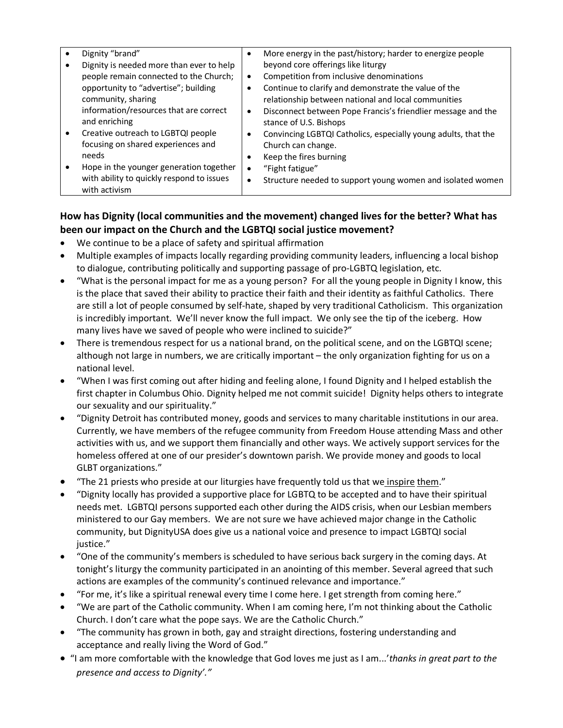| Dignity "brand"<br>Dignity is needed more than ever to help<br>people remain connected to the Church;<br>opportunity to "advertise"; building<br>community, sharing | ٠<br>$\bullet$         | More energy in the past/history; harder to energize people<br>beyond core offerings like liturgy<br>Competition from inclusive denominations<br>Continue to clarify and demonstrate the value of the<br>relationship between national and local communities |
|---------------------------------------------------------------------------------------------------------------------------------------------------------------------|------------------------|-------------------------------------------------------------------------------------------------------------------------------------------------------------------------------------------------------------------------------------------------------------|
| information/resources that are correct<br>and enriching                                                                                                             | $\bullet$              | Disconnect between Pope Francis's friendlier message and the<br>stance of U.S. Bishops                                                                                                                                                                      |
| Creative outreach to LGBTQI people<br>focusing on shared experiences and<br>needs                                                                                   | $\bullet$              | Convincing LGBTQI Catholics, especially young adults, that the<br>Church can change.<br>Keep the fires burning                                                                                                                                              |
| Hope in the younger generation together<br>with ability to quickly respond to issues<br>with activism                                                               | $\bullet$<br>$\bullet$ | "Fight fatigue"<br>Structure needed to support young women and isolated women                                                                                                                                                                               |

# **How has Dignity (local communities and the movement) changed lives for the better? What has been our impact on the Church and the LGBTQI social justice movement?**

- We continue to be a place of safety and spiritual affirmation
- Multiple examples of impacts locally regarding providing community leaders, influencing a local bishop to dialogue, contributing politically and supporting passage of pro-LGBTQ legislation, etc.
- "What is the personal impact for me as a young person? For all the young people in Dignity I know, this is the place that saved their ability to practice their faith and their identity as faithful Catholics. There are still a lot of people consumed by self-hate, shaped by very traditional Catholicism. This organization is incredibly important. We'll never know the full impact. We only see the tip of the iceberg. How many lives have we saved of people who were inclined to suicide?"
- There is tremendous respect for us a national brand, on the political scene, and on the LGBTQI scene; although not large in numbers, we are critically important – the only organization fighting for us on a national level.
- "When I was first coming out after hiding and feeling alone, I found Dignity and I helped establish the first chapter in Columbus Ohio. Dignity helped me not commit suicide! Dignity helps others to integrate our sexuality and our spirituality."
- "Dignity Detroit has contributed money, goods and services to many charitable institutions in our area. Currently, we have members of the refugee community from Freedom House attending Mass and other activities with us, and we support them financially and other ways. We actively support services for the homeless offered at one of our presider's downtown parish. We provide money and goods to local GLBT organizations."
- "The 21 priests who preside at our liturgies have frequently told us that we inspire them."
- "Dignity locally has provided a supportive place for LGBTQ to be accepted and to have their spiritual needs met. LGBTQI persons supported each other during the AIDS crisis, when our Lesbian members ministered to our Gay members. We are not sure we have achieved major change in the Catholic community, but DignityUSA does give us a national voice and presence to impact LGBTQI social justice."
- "One of the community's members is scheduled to have serious back surgery in the coming days. At tonight's liturgy the community participated in an anointing of this member. Several agreed that such actions are examples of the community's continued relevance and importance."
- "For me, it's like a spiritual renewal every time I come here. I get strength from coming here."
- "We are part of the Catholic community. When I am coming here, I'm not thinking about the Catholic Church. I don't care what the pope says. We are the Catholic Church."
- "The community has grown in both, gay and straight directions, fostering understanding and acceptance and really living the Word of God."
- "I am more comfortable with the knowledge that God loves me just as I am...'*thanks in great part to the presence and access to Dignity'."*